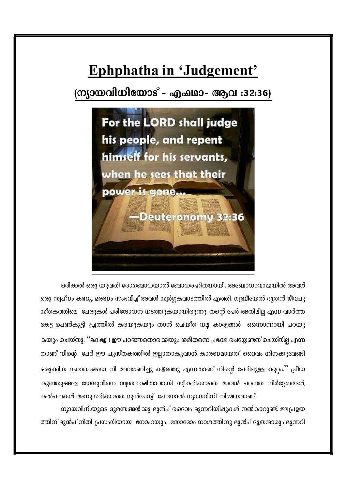# Ephphatha in 'Judgement'

(ന്യായവിധിയോട് - എഷഥാ- ആവ :32:36)



ഒരിക്കൽ ഒരു യുവതി രോഗബാധയാൽ ബോധരഹിതയായി. അബോധാവസ്ഥയിൽ അവൾ ഒരു സ്വപ്നം കണ്ടു. മരണം സംഭവിച്ച് അവൾ സ്വർഗ്ഗകവാടത്തിൽ എത്തി. ഗബ്രീയേൽ ദൂതൻ ജീവപു സ്തകത്തിലെ പേരുകൾ പരിശോധന നടത്തുകയായിരുന്നു. തന്റെ പേർ അതിലില്ല എന്ന വാർത്ത കേട്ട പെൺകുട്ടി ഉച്ചത്തിൽ കരയുകയും താൻ ചെയ്ത നല്ല കാര്യങ്ങൾ ഒന്നൊന്നായി പറയു കയും ചെയ്തു. ''മകളേ ! ഈ പറഞ്ഞതൊക്കെയും ശരിതന്നെ പക്ഷേ ചെയ്യേണ്ടത് ചെയ്തില്ല എന്ന താണ് നിന്റെ ചേർ ഈ പുസ്തകത്തിൽ ഇല്ലാതാകുവാൻ കാരണമായത്. ദൈവം നിനക്കുവേണ്ടി ഒരുക്കിയ മഹാരക്ഷയെ നീ അവഗണിച്ചു കളഞ്ഞു എന്നതാണ് നിന്റെ പേരിലുളള കുറ്റം.'' പ്രീയ കുഞ്ഞുങ്ങളേ യേശുവിനെ സ്വന്തരക്ഷിതാവായി സ്വീകരിക്കാതെ അവൻ പറഞ്ഞ നിർദ്ദേശങ്ങൾ, കൽപനകൾ അനുസരിക്കാതെ മുൻപോട്ട് "പോയാൽ ന്യായവിധി നിശ്ചയമാണ്.

ന്യായവിധിയുടെ ദുരന്തങ്ങൾക്കു മുൻപ് ദൈവം മുന്നറിയിഷുകൾ നൽകാറുണ്ട്. ജലപ്രളയ ത്തിന് മുൻപ് നീതി പ്രസംഗിയായ നോഹയും, ,സോദോം നാശത്തിനു മുൻപ് ദൂതന്മാരും മുന്നറി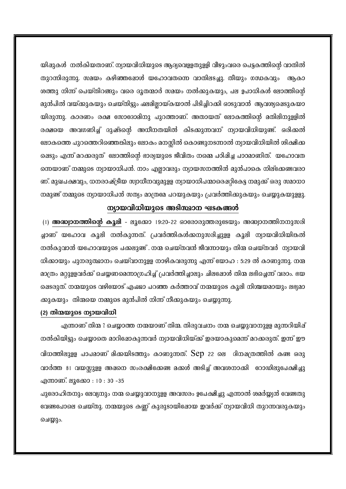യിഷുകൾ നൽകിയതാണ്. ന്യായവിധിയുടെ ആദ്യവെളളതുളളി വീഴുംവരെ പെട്ടകത്തിന്റെ വാതിൽ തുറന്നിരുന്നു. സമയം കഴിഞ്ഞദ്ധോൾ യഹോവതന്നെ വാതിലടച്ചു. തീയും ഗന്ധകവും ആകാ ശത്തു നിന്ന് പെയ്തിറങ്ങും വരെ ദൂതന്മാർ സമയം നൽക്കുകയും, പല ഉപാധികൾ ലോത്തിന്റെ മുൻപിൽ വയ്ക്കുകയും ചെയ്തിട്ടും ഷമില്ലായ്കയാൽ പിടിച്ചിറക്കി ഓടുവാൻ ആവശ്യഷെടുകയാ യിരുന്നു. കാരണം രക്ഷ സോദോമിനു പുറത്താണ്. അതായത് ലോകത്തിന്റെ മതിലിനുള്ളിൽ രക്ഷയെ അവഗണിച്ച് ദുഷ്ടന്റെ അധീനതയിൽ കിടക്കുന്നവന് ന്യായവിധിയുണ്ട്. ഒരിക്കൽ ലോകത്തെ പുറത്തെറിഞ്ഞെങ്കിലും ലോകം മനസ്സിൽ കൊണ്ടുനടന്നാൽ ന്യായവിധിയിൽ ശിക്ഷിക്ക ഷെടും എന്ന് മറക്കരുത്` ലോത്തിന്റെ ഭാര്യയുടെ ജീവിതം നമ്മെ പഠിഷിച്ച പാഠമാണിത്. യഹോവത ന്നെയാണ് നമ്മുടെ ന്യായാധിപൻ. നാം എല്ലാവരും ന്യായസനത്തിൻ മുൻപാകെ നില്ക്കേണ്ടവരാ ണ്. മുഖപക്ഷവും, ധനരാഷ്ട്രീയ സ്വാധീനവുമുളള ന്യായാധിപന്മാരെഷറ്റികേട്ട നമുക്ക് ഒരു സമാധാ നമുണ്ട് നമ്മുടെ ന്യായാധിപൻ സത്യം മാത്രമേ പറയുകയും പ്രവർത്തിക്കുകയും ചെയ്യുകയുളളു.

### ന്യായവിധിയുടെ അടിസ്ഥാന ഘടകങ്ങൾ

(1) അദ്ധ്വാനത്തിന്റെ കൂലി - ലൂക്കോ 19:20-22 ഓരോരുത്തരുടേയും അദ്ധ്വാനത്തിനനുസരി ച്ചാണ് യഹോവ കൂലി നൽകുന്നത്. പ്രവർത്തികൾക്കനുസരിച്ചുള്ള കൂലി ന്യായവിധിയികൽ നൽകുവാൻ യഹോവയുടെ പക്കലുണ്ട് . നന്മ ചെയ്തവൻ ജീവന്നായും തിന്മ ചെയ്തവർ ന്യായവി ധിക്കായും പുനരുത്ഥാനം ചെയ്വാനുളള നാഴികവരുന്നു എന്ന് യോഹ : 5:29 ൽ കാണുന്നു. നന്മ മാത്രം മറ്റുളളവർക്ക് ചെയ്യണമെന്നാഗ്രഹിച്ച് പ്രവർത്തിച്ചാലും ചിലഷോൾ തിന്മ ലഭിച്ചെന്ന് വരാം. ഭയ ഷെടരുത്. നന്മയുടെ വഴിയോട് എഷ്യാ പറഞ്ഞ കർത്താവ് നന്മയുടെ കൂലി നിശ്ചയമായും ലഭ്യമാ ക്കുകയും തിന്മയെ നമ്മുടെ മുൻപിൽ നിന്ന് നീക്കുകയും ചെയ്യുന്നു.

#### (2) തിന്മയുടെ ന്യായവിധി

എന്താണ് തിന്മ ? ചെയ്യാത്ത നന്മയാണ് തിന്മ. തിരുവചനം നന്മ ചെയ്യുവാനുളള മുന്നറിയിഷ് നൽകിയിട്ടും ചെയ്യാതെ മാറിഷോകുന്നവർ ന്യായവിധിയ്ക്ക് ഇരയാകുമെന്ന് മറക്കരുത്. ഇന്ന് ഈ വിധത്തിലുളള പാപമാണ് മിക്കയിടത്തും കാണുന്നത്. Sep 22 ലെ ദിനഷത്രത്തിൽ കണ്ട ഒരു വാർത്ത 81 വയസ്സുളള അഷനെ സംരക്ഷിക്കേണ്ട മക്കൾ അടിച്ച് അവശനാക്കി ഭറാഡിലുപേക്ഷിച്ചു എന്നാണ്. ലൂക്കോ : 10 : 30 -35

പുരോഹിതനും ലേവ്യനും നന്മ ചെയ്യുവാനുള്ള അവസരം ഉപേക്ഷിച്ചു എന്നാൽ ശമർയ്യ്യൻ വേണ്ടതു വേണ്ടപോലെ ചെയ്തു. നന്മയുടെ കണ്ണ് കുരുടായിഷോയ ഇവർക്ക് ന്യായവിധി തുറന്നവരുകയും ചെയ്യും.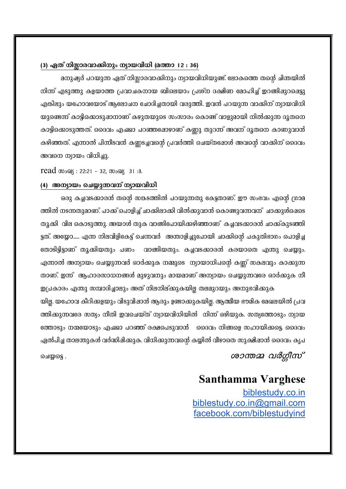#### (3) ഏത് നിസ്സാരവാക്കിനും ന്യായവിധി (മത്താ 12 : 36)

മനുഷ്യർ പറയുന്ന ഏത് നിസ്സാരവാക്കിനും ന്യായവിധിയുണ്ട്. ലോകത്തെ തന്റെ ചിന്തയിൽ നിന്ന് എടുത്തു കളയാത്ത പ്രവാചകനായ ബിലെയാം പ്രശ്ന ദക്ഷിണ മോഹിച്ച് ഇറങ്ങിഷുറപ്പെട്ടു എങ്കിലും യഹോവയോട് ആലോചന ചോദിച്ചതായി വരുത്തി. ഇവൻ പറയുന്ന വാക്കിന് ന്യായവിധി യുണ്ടെന്ന് കാട്ടിക്കൊടുഷാനാണ് കഴുതയുടെ സംസാരം കൊണ്ട് വാളുമായി നിൽക്കുന്ന ദൂതനെ കാട്ടിക്കൊടുത്തത്. ദൈവം എഷ്യാ പറഞ്ഞഷോഴാണ് കണ്ണു തുറന്ന് അവന് ദൂതനെ കാണുവാൻ കഴിഞ്ഞത്. എന്നാൽ പിന്നീടവൻ കണ്ണടച്ചവന്റെ പ്രവർത്തി ചെയ്തഷോൾ അവന്റെ വാക്കിന് ദൈവം അവനെ ന്യായം വിധിച്ചു.

 $read$   $\omega_{0}$   $\Omega$ : 22:21 - 32,  $\omega_{0}$   $\Omega$  31:8.

#### (4) അന്യായം ചെയ്യുന്നവന് ന്യായവിധി

ഒരു കച്ചവടക്കാരൻ തന്റെ സങ്കടത്തിൽ പറയുന്നതു കേട്ടതാണ്. ഈ സംഭവം എന്റെ ഗ്രാമ ത്തിൽ നടന്നതുമാണ്. പാക്ക് പൊളിച്ച് ചാക്കിലാക്കി വിൽക്കുവാൻ കൊണ്ടുവന്നവന് ചാക്കുൾഷെടെ തുക്കി വില കൊടുത്തു. അയാൾ തുക വാങ്ങിപോയിക്കഴിഞ്ഞാണ് കച്ചവടക്കാരൻ ചാക്ക്കുടഞ്ഞി ട്ടത്. അയ്യോ...... എന്ന നിലവിളികേട്ട് ചെന്നവർ അന്താളിച്ചുപോയി ചാക്കിന്റെ പകുതിഭാഗം പൊളിച്ച തോടിട്ടിട്ടാണ് തൂക്കിയതും പണം വാങ്ങിയതും. കച്ചവടക്കാരൻ കരയാതെ എന്തു ചെയ്യും. എന്നാൽ അന്യായം ചെയ്യുന്നവർ ഓർക്കുക നമ്മുടെ ന്യായാധിപന്റെ കണ്ണ് സകലവും കാക്കുന്ന താണ്. ഇന്ന് ആഹാരസാധനങ്ങൾ മുഴുവനും മായമാണ് അന്യായം ചെയ്യുന്നവരേ ഓർക്കുക നീ

ഇപ്രകാരം എന്തു സമ്പാദിച്ചാലും അത് നിലനില്ക്കുകയില്ല തലമുറയും അനുഭവിക്കുക യില്ല. യഹോവ കീറിക്കളയും വിടുവിഷാൻ ആരും ഉണ്ടാക്കുകയില്ല. ആത്മീയ ഭൗമിക മേഖലയിൽ പ്രവ ത്തിക്കുന്നവരേ സത്യം നീതി ഇവചെയ്ത് ന്യായവിധിയിൽ നിന്ന് ഒഴിയുക. സത്യത്തോടും ന്യായ ത്തോടും നന്മയോടും എഷ്യാ പറഞ്ഞ് രക്ഷപെടുവാൻ ദൈവം നിങ്ങളെ സഹായിക്കട്ടെ. ദൈവം ഏൽപിച്ച താലന്തുകൾ വർദ്ധിഷിക്കുക. വിധിക്കുന്നവന്റെ കയ്യിൽ വീഴാതെ സുക്ഷിഷാൻ ദൈവം കൃപ

ശാന്തമ്മ വർഗ്ഗീസ്

ചെയ്യട്ടെ .

## **Santhamma Varghese**

biblestudy.co.in biblestudy.co.in@gmail.com facebook.com/biblestudyind